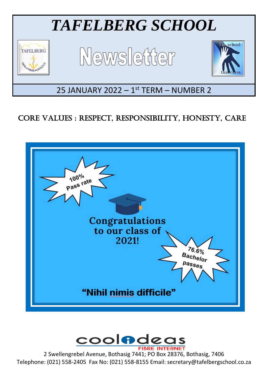

# CORE VALUES : RESPECT, RESPONSIBILITY, HONESTY, CARE





2 Swellengrebel Avenue, Bothasig 7441; PO Box 28376, Bothasig, 7406 Telephone: (021) 558-2405 Fax No: (021) 558-8155 Email: secretary@tafelbergschool.co.za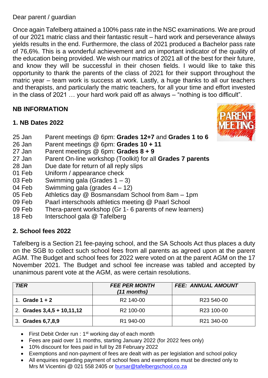Dear parent / guardian

Once again Tafelberg attained a 100% pass rate in the NSC examinations. We are proud of our 2021 matric class and their fantastic result – hard work and perseverance always yields results in the end. Furthermore, the class of 2021 produced a Bachelor pass rate of 76,6%. This is a wonderful achievement and an important indicator of the quality of the education being provided. We wish our matrics of 2021 all of the best for their future, and know they will be successful in their chosen fields. I would like to take this opportunity to thank the parents of the class of 2021 for their support throughout the matric year – team work is success at work. Lastly, a huge thanks to all our teachers and therapists, and particularly the matric teachers, for all your time and effort invested in the class of 2021 … your hard work paid off as always – "nothing is too difficult".

# **NB INFORMATION**

## **1. NB Dates 2022**



- 25 Jan Parent meetings @ 6pm: **Grades 12+7** and **Grades 1 to 6**
- 26 Jan Parent meetings @ 6pm: **Grades 10 + 11**
- 27 Jan Parent meetings @ 6pm: **Grades 8 + 9**
- 27 Jan Parent On-line workshop (Toolkit) for all **Grades 7 parents**
- 28 Jan Due date for return of all reply slips
- 01 Feb Uniform / appearance check
- 03 Feb Swimming gala (Grades 1 3)
- 04 Feb Swimming gala (grades 4 12)
- 05 Feb Athletics day @ Bosmansdam School from 8am 1pm
- 09 Feb Paarl interschools athletics meeting @ Paarl School
- 09 Feb Thera-parent workshop (Gr 1- 6 parents of new learners)
- 18 Feb Interschool gala @ Tafelberg

#### **2. School fees 2022**

Tafelberg is a Section 21 fee-paying school, and the SA Schools Act thus places a duty on the SGB to collect such school fees from all parents as agreed upon at the parent AGM. The Budget and school fees for 2022 were voted on at the parent AGM on the 17 November 2021. The Budget and school fee increase was tabled and accepted by unanimous parent vote at the AGM, as were certain resolutions.

| <b>TIER</b>                  | <b>FEE PER MONTH</b><br>$(11$ months) | <b>FEE: ANNUAL AMOUNT</b> |
|------------------------------|---------------------------------------|---------------------------|
| Grade $1 + 2$                | R <sub>2</sub> 140-00                 | R <sub>23</sub> 540-00    |
| 2. Grades $3,4,5 + 10,11,12$ | R <sub>2</sub> 100-00                 | R23 100-00                |
| 3. Grades 6, 7, 8, 9         | R1 940-00                             | R21 340-00                |

- First Debit Order run :  $1<sup>st</sup>$  working day of each month
- Fees are paid over 11 months, starting January 2022 (for 2022 fees only)
- 10% discount for fees paid in full by 28 February 2022
- Exemptions and non-payment of fees are dealt with as per legislation and school policy
- All enquiries regarding payment of school fees and exemptions must be directed only to Mrs M Vicentini @ 021 558 2405 or [bursar@tafelbergschool.co.za](mailto:bursar@tafelbergschool.co.za)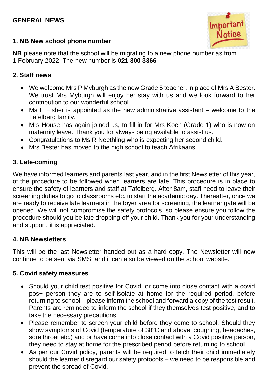## **GENERAL NEWS**



## **1. NB New school phone number**

**NB** please note that the school will be migrating to a new phone number as from 1 February 2022. The new number is **021 300 3366**

### **2. Staff news**

- We welcome Mrs P Myburgh as the new Grade 5 teacher, in place of Mrs A Bester. We trust Mrs Myburgh will enjoy her stay with us and we look forward to her contribution to our wonderful school.
- Ms E Fisher is appointed as the new administrative assistant welcome to the Tafelberg family.
- Mrs House has again joined us, to fill in for Mrs Koen (Grade 1) who is now on maternity leave. Thank you for always being available to assist us.
- Congratulations to Ms R Neethling who is expecting her second child.
- Mrs Bester has moved to the high school to teach Afrikaans.

# **3. Late-coming**

We have informed learners and parents last year, and in the first Newsletter of this year, of the procedure to be followed when learners are late. This procedure is in place to ensure the safety of learners and staff at Tafelberg. After 8am, staff need to leave their screening duties to go to classrooms etc. to start the academic day. Thereafter, once we are ready to receive late learners in the foyer area for screening, the learner gate will be opened. We will not compromise the safety protocols, so please ensure you follow the procedure should you be late dropping off your child. Thank you for your understanding and support, it is appreciated.

#### **4. NB Newsletters**

This will be the last Newsletter handed out as a hard copy. The Newsletter will now continue to be sent via SMS, and it can also be viewed on the school website.

#### **5. Covid safety measures**

- Should your child test positive for Covid, or come into close contact with a covid pos+ person they are to self-isolate at home for the required period, before returning to school – please inform the school and forward a copy of the test result. Parents are reminded to inform the school if they themselves test positive, and to take the necessary precautions.
- Please remember to screen your child before they come to school. Should they show symptoms of Covid (temperature of  $38^{\circ}$ C and above, coughing, headaches, sore throat etc.) and or have come into close contact with a Covid positive person, they need to stay at home for the prescribed period before returning to school.
- As per our Covid policy, parents will be required to fetch their child immediately should the learner disregard our safety protocols – we need to be responsible and prevent the spread of Covid.